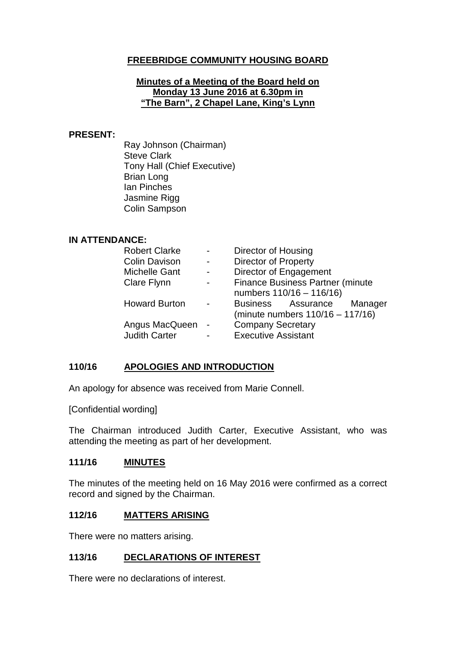## **FREEBRIDGE COMMUNITY HOUSING BOARD**

#### **Minutes of a Meeting of the Board held on Monday 13 June 2016 at 6.30pm in "The Barn", 2 Chapel Lane, King's Lynn**

#### **PRESENT:**

Ray Johnson (Chairman) Steve Clark Tony Hall (Chief Executive) Brian Long Ian Pinches Jasmine Rigg Colin Sampson

### **IN ATTENDANCE:**

| <b>Robert Clarke</b> | Director of Housing                     |
|----------------------|-----------------------------------------|
| <b>Colin Davison</b> | <b>Director of Property</b>             |
| <b>Michelle Gant</b> | Director of Engagement                  |
| Clare Flynn          | <b>Finance Business Partner (minute</b> |
|                      | numbers 110/16 - 116/16)                |
| <b>Howard Burton</b> | Business Assurance Manager              |
|                      | (minute numbers 110/16 - 117/16)        |
| Angus MacQueen       | <b>Company Secretary</b>                |
| <b>Judith Carter</b> | <b>Executive Assistant</b>              |

### **110/16 APOLOGIES AND INTRODUCTION**

An apology for absence was received from Marie Connell.

[Confidential wording]

The Chairman introduced Judith Carter, Executive Assistant, who was attending the meeting as part of her development.

### **111/16 MINUTES**

The minutes of the meeting held on 16 May 2016 were confirmed as a correct record and signed by the Chairman.

### **112/16 MATTERS ARISING**

There were no matters arising.

### **113/16 DECLARATIONS OF INTEREST**

There were no declarations of interest.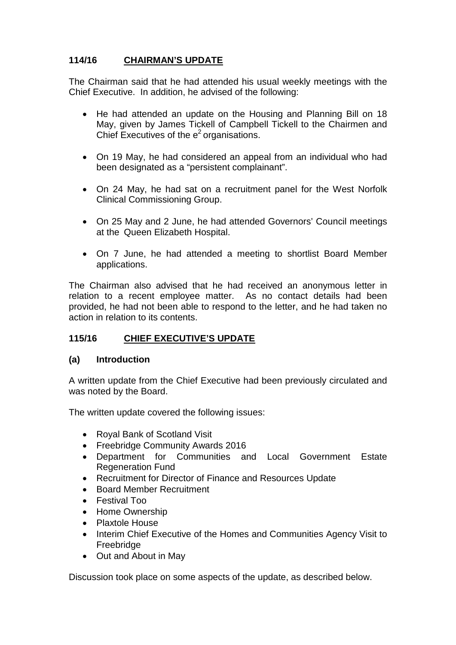# **114/16 CHAIRMAN'S UPDATE**

The Chairman said that he had attended his usual weekly meetings with the Chief Executive. In addition, he advised of the following:

- He had attended an update on the Housing and Planning Bill on 18 May, given by James Tickell of Campbell Tickell to the Chairmen and Chief Executives of the  $e<sup>2</sup>$  organisations.
- On 19 May, he had considered an appeal from an individual who had been designated as a "persistent complainant".
- On 24 May, he had sat on a recruitment panel for the West Norfolk Clinical Commissioning Group.
- On 25 May and 2 June, he had attended Governors' Council meetings at the Queen Elizabeth Hospital.
- On 7 June, he had attended a meeting to shortlist Board Member applications.

The Chairman also advised that he had received an anonymous letter in relation to a recent employee matter. As no contact details had been provided, he had not been able to respond to the letter, and he had taken no action in relation to its contents.

## **115/16 CHIEF EXECUTIVE'S UPDATE**

### **(a) Introduction**

A written update from the Chief Executive had been previously circulated and was noted by the Board.

The written update covered the following issues:

- Royal Bank of Scotland Visit
- Freebridge Community Awards 2016
- Department for Communities and Local Government Estate Regeneration Fund
- Recruitment for Director of Finance and Resources Update
- Board Member Recruitment
- Festival Too
- Home Ownership
- Plaxtole House
- Interim Chief Executive of the Homes and Communities Agency Visit to Freebridge
- Out and About in May

Discussion took place on some aspects of the update, as described below.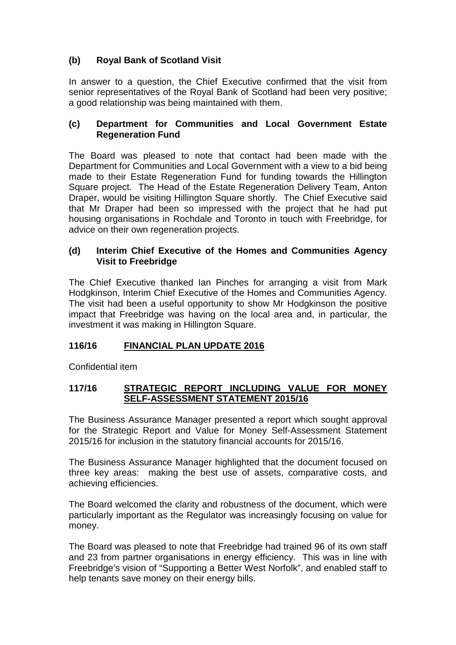# **(b) Royal Bank of Scotland Visit**

In answer to a question, the Chief Executive confirmed that the visit from senior representatives of the Royal Bank of Scotland had been very positive; a good relationship was being maintained with them.

## **(c) Department for Communities and Local Government Estate Regeneration Fund**

The Board was pleased to note that contact had been made with the Department for Communities and Local Government with a view to a bid being made to their Estate Regeneration Fund for funding towards the Hillington Square project. The Head of the Estate Regeneration Delivery Team, Anton Draper, would be visiting Hillington Square shortly. The Chief Executive said that Mr Draper had been so impressed with the project that he had put housing organisations in Rochdale and Toronto in touch with Freebridge, for advice on their own regeneration projects.

## **(d) Interim Chief Executive of the Homes and Communities Agency Visit to Freebridge**

The Chief Executive thanked Ian Pinches for arranging a visit from Mark Hodgkinson, Interim Chief Executive of the Homes and Communities Agency. The visit had been a useful opportunity to show Mr Hodgkinson the positive impact that Freebridge was having on the local area and, in particular, the investment it was making in Hillington Square.

# **116/16 FINANCIAL PLAN UPDATE 2016**

Confidential item

## **117/16 STRATEGIC REPORT INCLUDING VALUE FOR MONEY SELF-ASSESSMENT STATEMENT 2015/16**

The Business Assurance Manager presented a report which sought approval for the Strategic Report and Value for Money Self-Assessment Statement 2015/16 for inclusion in the statutory financial accounts for 2015/16.

The Business Assurance Manager highlighted that the document focused on three key areas: making the best use of assets, comparative costs, and achieving efficiencies.

The Board welcomed the clarity and robustness of the document, which were particularly important as the Regulator was increasingly focusing on value for money.

The Board was pleased to note that Freebridge had trained 96 of its own staff and 23 from partner organisations in energy efficiency. This was in line with Freebridge's vision of "Supporting a Better West Norfolk", and enabled staff to help tenants save money on their energy bills.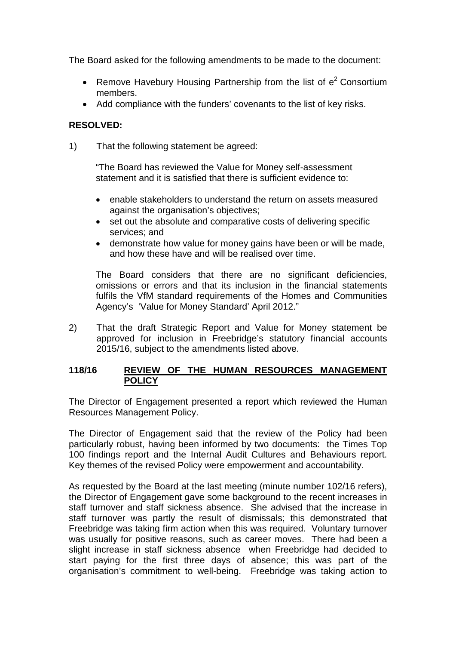The Board asked for the following amendments to be made to the document:

- Remove Havebury Housing Partnership from the list of  $e^2$  Consortium members.
- Add compliance with the funders' covenants to the list of key risks.

## **RESOLVED:**

1) That the following statement be agreed:

"The Board has reviewed the Value for Money self-assessment statement and it is satisfied that there is sufficient evidence to:

- enable stakeholders to understand the return on assets measured against the organisation's objectives;
- set out the absolute and comparative costs of delivering specific services; and
- demonstrate how value for money gains have been or will be made, and how these have and will be realised over time.

The Board considers that there are no significant deficiencies, omissions or errors and that its inclusion in the financial statements fulfils the VfM standard requirements of the Homes and Communities Agency's 'Value for Money Standard' April 2012."

2) That the draft Strategic Report and Value for Money statement be approved for inclusion in Freebridge's statutory financial accounts 2015/16, subject to the amendments listed above.

### **118/16 REVIEW OF THE HUMAN RESOURCES MANAGEMENT POLICY**

The Director of Engagement presented a report which reviewed the Human Resources Management Policy.

The Director of Engagement said that the review of the Policy had been particularly robust, having been informed by two documents: the Times Top 100 findings report and the Internal Audit Cultures and Behaviours report. Key themes of the revised Policy were empowerment and accountability.

As requested by the Board at the last meeting (minute number 102/16 refers), the Director of Engagement gave some background to the recent increases in staff turnover and staff sickness absence. She advised that the increase in staff turnover was partly the result of dismissals; this demonstrated that Freebridge was taking firm action when this was required. Voluntary turnover was usually for positive reasons, such as career moves. There had been a slight increase in staff sickness absence when Freebridge had decided to start paying for the first three days of absence; this was part of the organisation's commitment to well-being. Freebridge was taking action to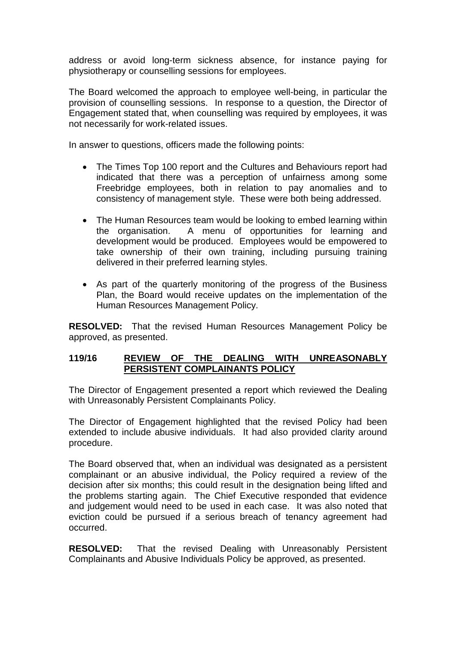address or avoid long-term sickness absence, for instance paying for physiotherapy or counselling sessions for employees.

The Board welcomed the approach to employee well-being, in particular the provision of counselling sessions. In response to a question, the Director of Engagement stated that, when counselling was required by employees, it was not necessarily for work-related issues.

In answer to questions, officers made the following points:

- The Times Top 100 report and the Cultures and Behaviours report had indicated that there was a perception of unfairness among some Freebridge employees, both in relation to pay anomalies and to consistency of management style. These were both being addressed.
- The Human Resources team would be looking to embed learning within<br>the organisation. A menu of opportunities for learning and A menu of opportunities for learning and development would be produced. Employees would be empowered to take ownership of their own training, including pursuing training delivered in their preferred learning styles.
- As part of the quarterly monitoring of the progress of the Business Plan, the Board would receive updates on the implementation of the Human Resources Management Policy.

**RESOLVED:** That the revised Human Resources Management Policy be approved, as presented.

## **119/16 REVIEW OF THE DEALING WITH UNREASONABLY PERSISTENT COMPLAINANTS POLICY**

The Director of Engagement presented a report which reviewed the Dealing with Unreasonably Persistent Complainants Policy.

The Director of Engagement highlighted that the revised Policy had been extended to include abusive individuals. It had also provided clarity around procedure.

The Board observed that, when an individual was designated as a persistent complainant or an abusive individual, the Policy required a review of the decision after six months; this could result in the designation being lifted and the problems starting again. The Chief Executive responded that evidence and judgement would need to be used in each case. It was also noted that eviction could be pursued if a serious breach of tenancy agreement had occurred.

**RESOLVED:** That the revised Dealing with Unreasonably Persistent Complainants and Abusive Individuals Policy be approved, as presented.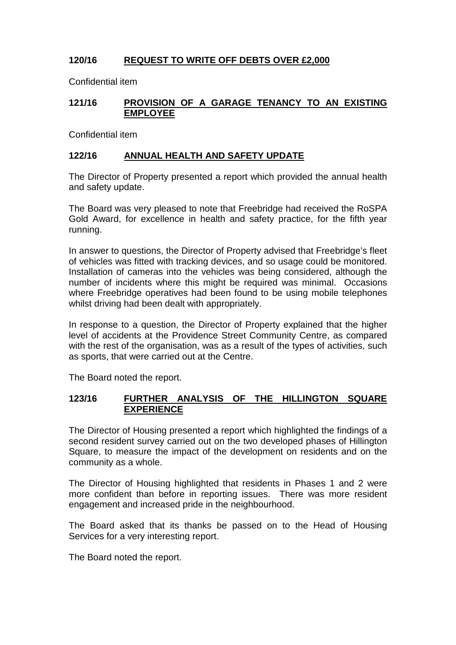# **120/16 REQUEST TO WRITE OFF DEBTS OVER £2,000**

Confidential item

## **121/16 PROVISION OF A GARAGE TENANCY TO AN EXISTING EMPLOYEE**

Confidential item

## **122/16 ANNUAL HEALTH AND SAFETY UPDATE**

The Director of Property presented a report which provided the annual health and safety update.

The Board was very pleased to note that Freebridge had received the RoSPA Gold Award, for excellence in health and safety practice, for the fifth year running.

In answer to questions, the Director of Property advised that Freebridge's fleet of vehicles was fitted with tracking devices, and so usage could be monitored. Installation of cameras into the vehicles was being considered, although the number of incidents where this might be required was minimal. Occasions where Freebridge operatives had been found to be using mobile telephones whilst driving had been dealt with appropriately.

In response to a question, the Director of Property explained that the higher level of accidents at the Providence Street Community Centre, as compared with the rest of the organisation, was as a result of the types of activities, such as sports, that were carried out at the Centre.

The Board noted the report.

### **123/16 FURTHER ANALYSIS OF THE HILLINGTON SQUARE EXPERIENCE**

The Director of Housing presented a report which highlighted the findings of a second resident survey carried out on the two developed phases of Hillington Square, to measure the impact of the development on residents and on the community as a whole.

The Director of Housing highlighted that residents in Phases 1 and 2 were more confident than before in reporting issues. There was more resident engagement and increased pride in the neighbourhood.

The Board asked that its thanks be passed on to the Head of Housing Services for a very interesting report.

The Board noted the report.